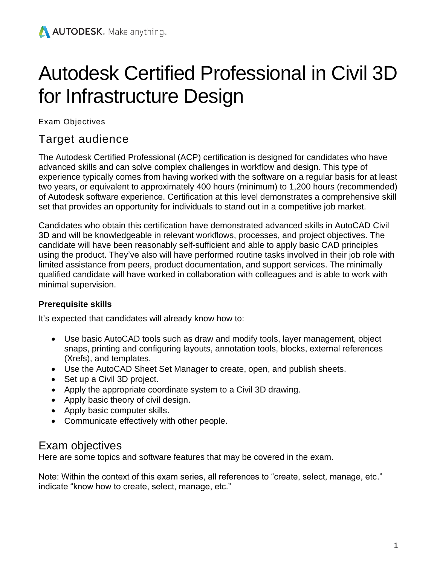# Autodesk Certified Professional in Civil 3D for Infrastructure Design

Exam Objectives

# Target audience

The Autodesk Certified Professional (ACP) certification is designed for candidates who have advanced skills and can solve complex challenges in workflow and design. This type of experience typically comes from having worked with the software on a regular basis for at least two years, or equivalent to approximately 400 hours (minimum) to 1,200 hours (recommended) of Autodesk software experience. Certification at this level demonstrates a comprehensive skill set that provides an opportunity for individuals to stand out in a competitive job market.

Candidates who obtain this certification have demonstrated advanced skills in AutoCAD Civil 3D and will be knowledgeable in relevant workflows, processes, and project objectives. The candidate will have been reasonably self-sufficient and able to apply basic CAD principles using the product. They've also will have performed routine tasks involved in their job role with limited assistance from peers, product documentation, and support services. The minimally qualified candidate will have worked in collaboration with colleagues and is able to work with minimal supervision.

## **Prerequisite skills**

It's expected that candidates will already know how to:

- Use basic AutoCAD tools such as draw and modify tools, layer management, object snaps, printing and configuring layouts, annotation tools, blocks, external references (Xrefs), and templates.
- Use the AutoCAD Sheet Set Manager to create, open, and publish sheets.
- Set up a Civil 3D project.
- Apply the appropriate coordinate system to a Civil 3D drawing.
- Apply basic theory of civil design.
- Apply basic computer skills.
- Communicate effectively with other people.

# Exam objectives

Here are some topics and software features that may be covered in the exam.

Note: Within the context of this exam series, all references to "create, select, manage, etc." indicate "know how to create, select, manage, etc."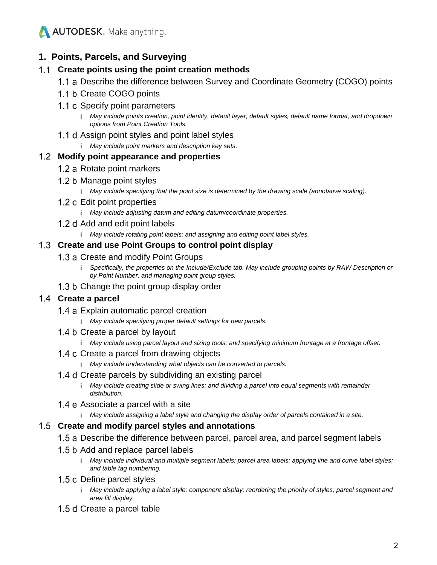

#### **1. Points, Parcels, and Surveying**

#### **Create points using the point creation methods**

- 1.1 a Describe the difference between Survey and Coordinate Geometry (COGO) points
- 1.1 b Create COGO points
- 1.1 c Specify point parameters
	- *May include points creation, point identity, default layer, default styles, default name format, and dropdown options from Point Creation Tools.*
- 1.1 d Assign point styles and point label styles
	- *May include point markers and description key sets.*

#### **Modify point appearance and properties**

- 1.2 a Rotate point markers
- 1.2 b Manage point styles
	- *May include specifying that the point size is determined by the drawing scale (annotative scaling).*
- 1.2 c Edit point properties
	- *May include adjusting datum and editing datum/coordinate properties.*
- 1.2 d Add and edit point labels
	- *May include rotating point labels; and assigning and editing point label styles.*

#### **Create and use Point Groups to control point display**

#### 1.3 a Create and modify Point Groups

- *i* Specifically, the properties on the Include/Exclude tab. May include grouping points by RAW Description or *by Point Number; and managing point group styles.*
- 1.3 b Change the point group display order

#### **Create a parcel**

- 1.4 a Explain automatic parcel creation
	- *May include specifying proper default settings for new parcels.*
- 1.4 b Create a parcel by layout
	- *May include using parcel layout and sizing tools; and specifying minimum frontage at a frontage offset.*
- 1.4 c Create a parcel from drawing objects
	- *May include understanding what objects can be converted to parcels.*

#### 1.4 d Create parcels by subdividing an existing parcel

- *May include creating slide or swing lines; and dividing a parcel into equal segments with remainder distribution.*
- 1.4 e Associate a parcel with a site
	- *May include assigning a label style and changing the display order of parcels contained in a site.*

#### **Create and modify parcel styles and annotations**

- 1.5 a Describe the difference between parcel, parcel area, and parcel segment labels
- 1.5 b Add and replace parcel labels
	- *May include individual and multiple segment labels; parcel area labels; applying line and curve label styles; and table tag numbering.*
- 1.5 c Define parcel styles
	- *May include applying a label style; component display; reordering the priority of styles; parcel segment and area fill display.*
- 1.5 d Create a parcel table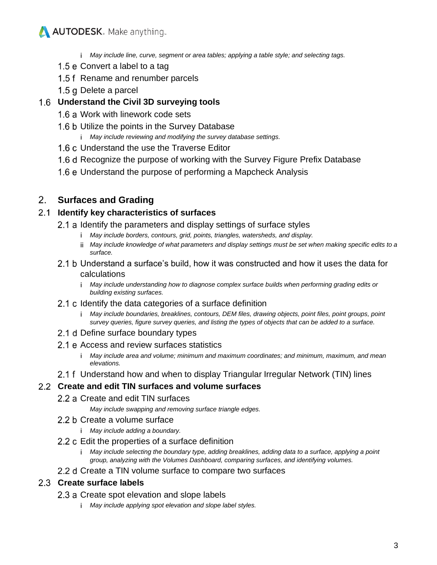*May include line, curve, segment or area tables; applying a table style; and selecting tags.* 

- 1.5  $e$  Convert a label to a tag
- 1.5 f Rename and renumber parcels
- 1.5 g Delete a parcel

#### **Understand the Civil 3D surveying tools**

- 1.6 a Work with linework code sets
- 1.6 b Utilize the points in the Survey Database
	- *May include reviewing and modifying the survey database settings.*
- 1.6 c Understand the use the Traverse Editor
- 1.6 d Recognize the purpose of working with the Survey Figure Prefix Database
- 1.6 e Understand the purpose of performing a Mapcheck Analysis

## **Surfaces and Grading**

#### **Identify key characteristics of surfaces**

- 2.1 a Identify the parameters and display settings of surface styles
	- *May include borders, contours, grid, points, triangles, watersheds, and display.*
	- *May include knowledge of what parameters and display settings must be set when making specific edits to a surface.*
- 2.1 b Understand a surface's build, how it was constructed and how it uses the data for calculations
	- *May include understanding how to diagnose complex surface builds when performing grading edits or building existing surfaces.*
- 2.1 c Identify the data categories of a surface definition
	- *May include boundaries, breaklines, contours, DEM files, drawing objects, point files, point groups, point survey queries, figure survey queries, and listing the types of objects that can be added to a surface.*
- 2.1 d Define surface boundary types
- 2.1 e Access and review surfaces statistics
	- *May include area and volume; minimum and maximum coordinates; and minimum, maximum, and mean elevations.*
- 2.1 f Understand how and when to display Triangular Irregular Network (TIN) lines

#### **Create and edit TIN surfaces and volume surfaces**

#### 2.2 a Create and edit TIN surfaces

- *May include swapping and removing surface triangle edges.*
- 2.2 b Create a volume surface
	- *May include adding a boundary.*
- 2.2 c Edit the properties of a surface definition
	- *May include selecting the boundary type, adding breaklines, adding data to a surface, applying a point group, analyzing with the Volumes Dashboard, comparing surfaces, and identifying volumes.*
- 2.2 d Create a TIN volume surface to compare two surfaces

#### **Create surface labels**

- 2.3 a Create spot elevation and slope labels
	- *May include applying spot elevation and slope label styles.*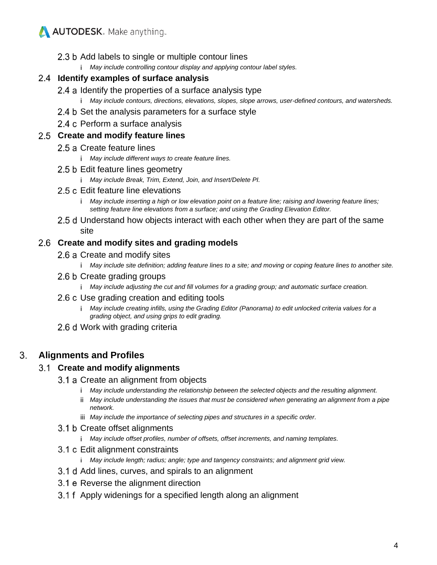- 2.3 b Add labels to single or multiple contour lines
	- *May include controlling contour display and applying contour label styles.*

#### **Identify examples of surface analysis**

- 2.4 a Identify the properties of a surface analysis type
	- *May include contours, directions, elevations, slopes, slope arrows, user-defined contours, and watersheds.*
- 2.4 b Set the analysis parameters for a surface style
- 2.4 c Perform a surface analysis

#### **Create and modify feature lines**

- 2.5 a Create feature lines
	- *May include different ways to create feature lines.*
- 2.5 b Edit feature lines geometry
	- *May include Break, Trim, Extend, Join, and Insert/Delete PI.*
- 2.5 c Edit feature line elevations
	- *May include inserting a high or low elevation point on a feature line; raising and lowering feature lines; setting feature line elevations from a surface; and using the Grading Elevation Editor.*
- 2.5 d Understand how objects interact with each other when they are part of the same site

#### **Create and modify sites and grading models**

- 2.6 a Create and modify sites
	- *May include site definition; adding feature lines to a site; and moving or coping feature lines to another site.*
- 2.6 b Create grading groups
	- *May include adjusting the cut and fill volumes for a grading group; and automatic surface creation.*
- 2.6 c Use grading creation and editing tools
	- *May include creating infills, using the Grading Editor (Panorama) to edit unlocked criteria values for a grading object, and using grips to edit grading.*
- 2.6 d Work with grading criteria

#### 3. **Alignments and Profiles**

#### **Create and modify alignments**

- 3.1 a Create an alignment from objects
	- *May include understanding the relationship between the selected objects and the resulting alignment.*
	- *May include understanding the issues that must be considered when generating an alignment from a pipe network.*
	- *May include the importance of selecting pipes and structures in a specific order.*
- 3.1 b Create offset alignments
	- *May include offset profiles, number of offsets, offset increments, and naming templates.*
- 3.1 c Edit alignment constraints
	- *May include length; radius; angle; type and tangency constraints; and alignment grid view.*
- 3.1 d Add lines, curves, and spirals to an alignment
- 3.1 e Reverse the alignment direction
- 3.1 f Apply widenings for a specified length along an alignment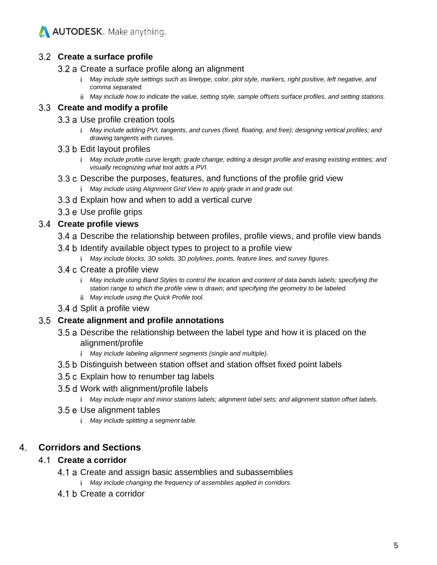

#### **Create a surface profile**

- 3.2 a Create a surface profile along an alignment
	- *May include style settings such as linetype, color, plot style, markers, right positive, left negative, and comma separated.*
	- *May include how to indicate the value, setting style, sample offsets surface profiles, and setting stations.*

#### **Create and modify a profile**

- 3.3 a Use profile creation tools
	- *May include adding PVI, tangents, and curves (fixed, floating, and free); designing vertical profiles; and drawing tangents with curves.*

#### 3.3 b Edit layout profiles

- *May include profile curve length; grade change; editing a design profile and erasing existing entities; and visually recognizing what tool adds a PVI.*
- 3.3 c Describe the purposes, features, and functions of the profile grid view *May include using Alignment Grid View to apply grade in and grade out.*
- 3.3 d Explain how and when to add a vertical curve
- 3.3 e Use profile grips

#### **Create profile views**

- 3.4 a Describe the relationship between profiles, profile views, and profile view bands
- 3.4 b Identify available object types to project to a profile view
	- *May include blocks, 3D solids, 3D polylines, points, feature lines, and survey figures.*
- 3.4 c Create a profile view
	- *May include using Band Styles to control the location and content of data bands labels; specifying the station range to which the profile view is drawn; and specifying the geometry to be labeled.*
	- *May include using the Quick Profile tool.*
- 3.4 d Split a profile view

#### **Create alignment and profile annotations**

- 3.5 a Describe the relationship between the label type and how it is placed on the alignment/profile
	- *May include labeling alignment segments (single and multiple).*
- 3.5 b Distinguish between station offset and station offset fixed point labels
- 3.5 c Explain how to renumber tag labels
- 3.5 d Work with alignment/profile labels
	- *May include major and minor stations labels; alignment label sets; and alignment station offset labels.*
- 3.5 e Use alignment tables
	- *May include splitting a segment table.*

#### 4. **Corridors and Sections**

#### **Create a corridor**

- 4.1 a Create and assign basic assemblies and subassemblies
	- *May include changing the frequency of assemblies applied in corridors.*
- 4.1 b Create a corridor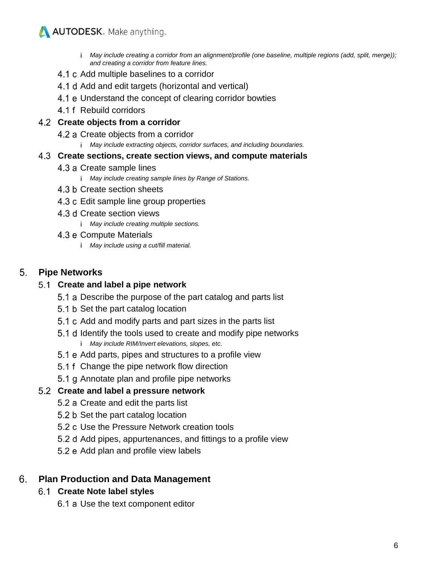- *May include creating a corridor from an alignment/profile (one baseline, multiple regions (add, split, merge)); and creating a corridor from feature lines.*
- 4.1 c Add multiple baselines to a corridor
- 4.1 d Add and edit targets (horizontal and vertical)
- 4.1 e Understand the concept of clearing corridor bowties
- 4.1 f Rebuild corridors

#### **Create objects from a corridor**

- 4.2 a Create objects from a corridor
	- *May include extracting objects, corridor surfaces, and including boundaries.*

#### **Create sections, create section views, and compute materials**

- 4.3 a Create sample lines
	- *May include creating sample lines by Range of Stations.*
- 4.3 b Create section sheets
- 4.3 c Edit sample line group properties
- 4.3 d Create section views
	- *May include creating multiple sections.*
- 4.3 e Compute Materials
	- *May include using a cut/fill material.*

#### 5. **Pipe Networks**

#### **Create and label a pipe network**

- 5.1 a Describe the purpose of the part catalog and parts list
- 5.1 b Set the part catalog location
- 5.1 c Add and modify parts and part sizes in the parts list
- 5.1 d Identify the tools used to create and modify pipe networks *May include RIM/Invert elevations, slopes, etc.*
- 5.1 e Add parts, pipes and structures to a profile view
- 5.1 f Change the pipe network flow direction
- 5.1 g Annotate plan and profile pipe networks

## **Create and label a pressure network**

- 5.2 a Create and edit the parts list
- 5.2 b Set the part catalog location
- 5.2 c Use the Pressure Network creation tools
- 5.2 d Add pipes, appurtenances, and fittings to a profile view
- 5.2 e Add plan and profile view labels

#### 6. **Plan Production and Data Management**

## **Create Note label styles**

6.1 a Use the text component editor